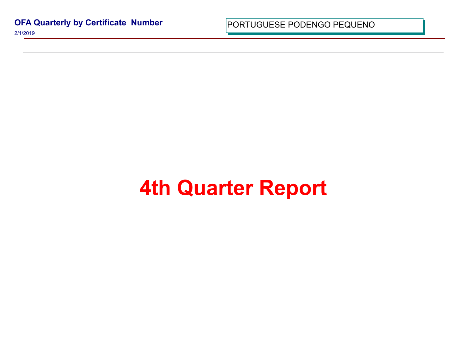**OFA Quarterly by Certificate Number** 2/1/2019

PORTUGUESE PODENGO PEQUI

## **4th Quarter Report**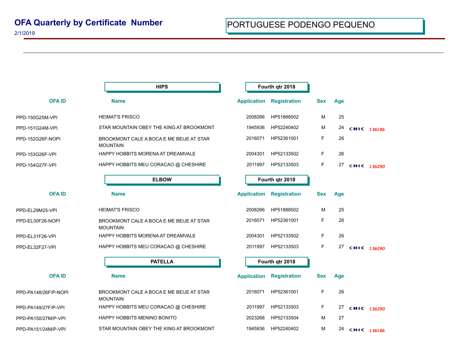| <b>HIPS</b>                                                 |                    | Fourth qtr 2018     |                 |     |             |  |
|-------------------------------------------------------------|--------------------|---------------------|-----------------|-----|-------------|--|
| <b>Name</b>                                                 | <b>Application</b> | <b>Registration</b> | <b>Sex</b>      | Age |             |  |
| <b>HEIMAT'S FRISCO</b>                                      | 2008266            | HP51888502          | M               | 25  |             |  |
| STAR MOUNTAIN OBEY THE KING AT BROOKMONT                    | 1945936            | HP52240402          | M               | 24  | CHIC 136186 |  |
| BROOKMONT CALE A BOCA E ME BEIJE AT STAR<br><b>MOUNTAIN</b> | 2016071            | HP52361001          | F               | 26  |             |  |
| HAPPY HOBBITS MORENA AT DREAMVALE                           | 2004301            | HP52133502          | F               | 26  |             |  |
| HAPPY HOBBITS MEU CORACAO @ CHESHIRE                        | 2011997            | HP52133503          | F               | 27  | CHIC 136290 |  |
| <b>ELBOW</b>                                                | Fourth qtr 2018    |                     |                 |     |             |  |
| <b>Name</b>                                                 |                    | <b>Registration</b> | <b>Sex</b>      | Age |             |  |
| <b>HEIMAT'S FRISCO</b>                                      | 2008266            | HP51888502          | M               | 25  |             |  |
| BROOKMONT CALE A BOCA E ME BEIJE AT STAR<br><b>MOUNTAIN</b> | 2016071            | HP52361001          | F               | 26  |             |  |
| HAPPY HOBBITS MORENA AT DREAMVALE                           | 2004301            | HP52133502          | F               | 26  |             |  |
| HAPPY HOBBITS MEU CORACAO @ CHESHIRE                        | 2011997            | HP52133503          | F               | 27  | CHIC 136290 |  |
| <b>PATELLA</b>                                              |                    |                     |                 |     |             |  |
| <b>Name</b>                                                 | <b>Application</b> | <b>Registration</b> | <b>Sex</b>      | Age |             |  |
| BROOKMONT CALE A BOCA E ME BEIJE AT STAR<br><b>MOUNTAIN</b> | 2016071            | HP52361001          | F               | 26  |             |  |
| HAPPY HOBBITS MEU CORACAO @ CHESHIRE                        | 2011997            | HP52133503          | F               | 27  | CHIC 136290 |  |
| HAPPY HOBBITS MENINO BONITO                                 | 2023268            | HP52133504          | M               | 27  |             |  |
| STAR MOUNTAIN OBEY THE KING AT BROOKMONT                    | 1945936            | HP52240402          | М               | 24  | CHIC 136186 |  |
|                                                             |                    | <b>Application</b>  | Fourth qtr 2018 |     |             |  |